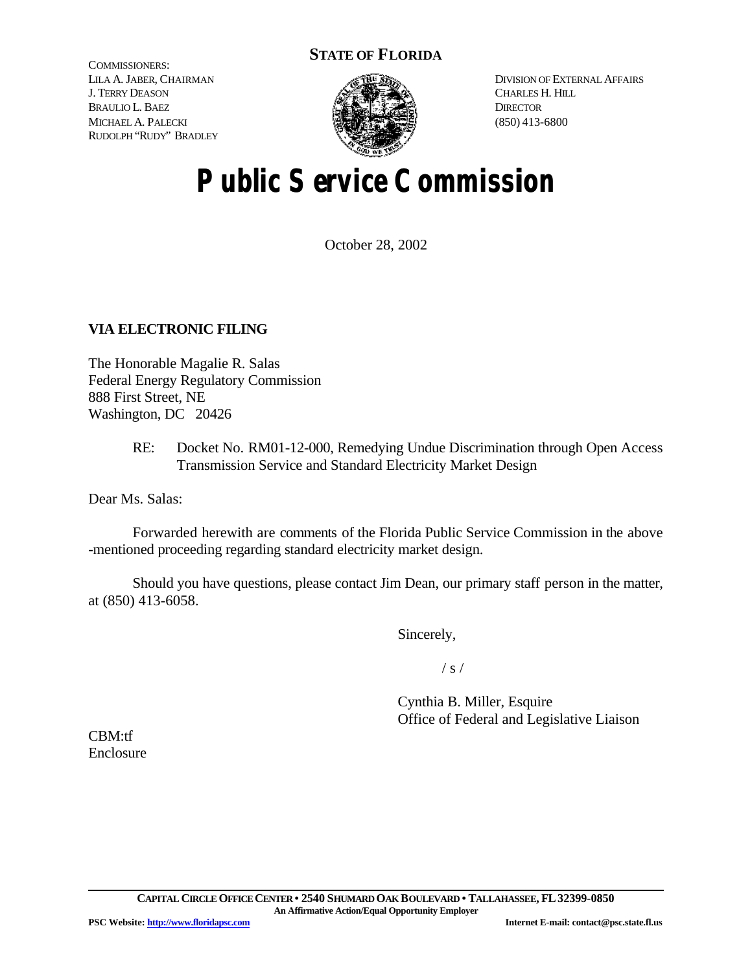### **STATE OF FLORIDA**

COMMISSIONERS: LILA A. JABER, CHAIRMAN J. TERRY DEASON BRAULIO L. BAEZ MICHAEL A. PALECKI RUDOLPH "RUDY" BRADLEY



DIVISION OF EXTERNAL AFFAIRS CHARLES H. HILL **DIRECTOR** (850) 413-6800

# **Public Service Commission**

October 28, 2002

### **VIA ELECTRONIC FILING**

The Honorable Magalie R. Salas Federal Energy Regulatory Commission 888 First Street, NE Washington, DC 20426

> RE: Docket No. RM01-12-000, Remedying Undue Discrimination through Open Access Transmission Service and Standard Electricity Market Design

Dear Ms. Salas:

Forwarded herewith are comments of the Florida Public Service Commission in the above -mentioned proceeding regarding standard electricity market design.

Should you have questions, please contact Jim Dean, our primary staff person in the matter, at (850) 413-6058.

Sincerely,

 $/ s /$ 

Cynthia B. Miller, Esquire Office of Federal and Legislative Liaison

CBM:tf Enclosure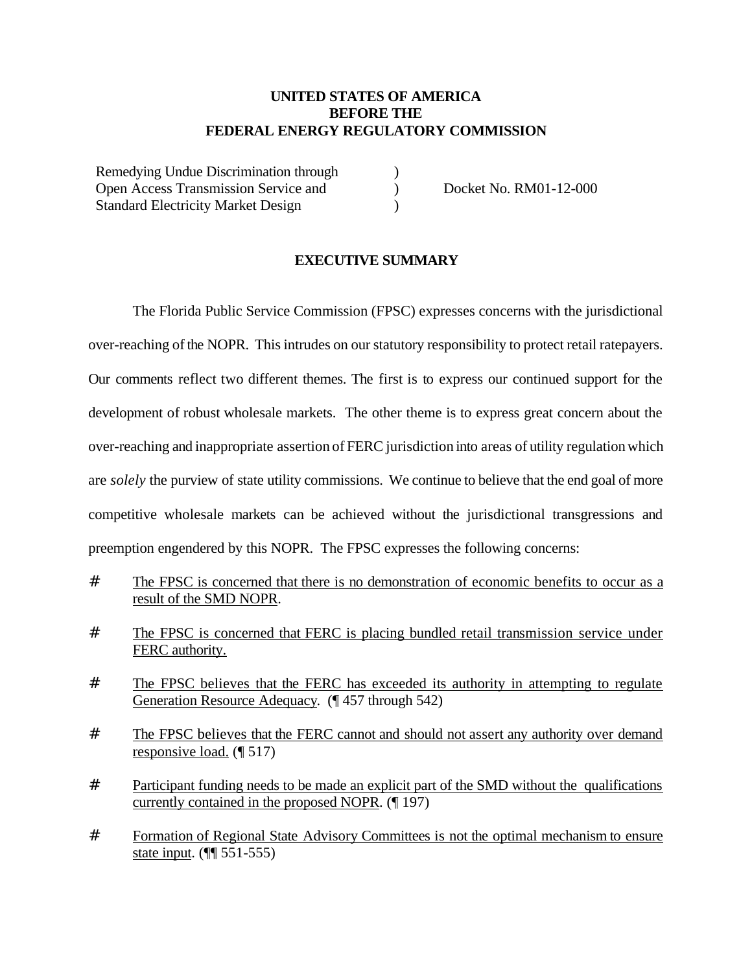### **UNITED STATES OF AMERICA BEFORE THE FEDERAL ENERGY REGULATORY COMMISSION**

)  $\mathcal{L}$  $\lambda$ 

Remedying Undue Discrimination through Open Access Transmission Service and Standard Electricity Market Design

Docket No. RM01-12-000

### **EXECUTIVE SUMMARY**

The Florida Public Service Commission (FPSC) expresses concerns with the jurisdictional over-reaching ofthe NOPR. This intrudes on our statutory responsibility to protect retail ratepayers. Our comments reflect two different themes. The first is to express our continued support for the development of robust wholesale markets. The other theme is to express great concern about the over-reaching and inappropriate assertion of FERC jurisdiction into areas of utility regulation which are *solely* the purview of state utility commissions. We continue to believe that the end goal of more competitive wholesale markets can be achieved without the jurisdictional transgressions and preemption engendered by this NOPR. The FPSC expresses the following concerns:

- # The FPSC is concerned that there is no demonstration of economic benefits to occur as a result of the SMD NOPR.
- # The FPSC is concerned that FERC is placing bundled retail transmission service under FERC authority.
- # The FPSC believes that the FERC has exceeded its authority in attempting to regulate Generation Resource Adequacy. (¶ 457 through 542)
- # The FPSC believes that the FERC cannot and should not assert any authority over demand responsive load. (¶ 517)
- # Participant funding needs to be made an explicit part of the SMD without the qualifications currently contained in the proposed NOPR. (¶ 197)
- # Formation of Regional State Advisory Committees is not the optimal mechanism to ensure state input. (¶¶ 551-555)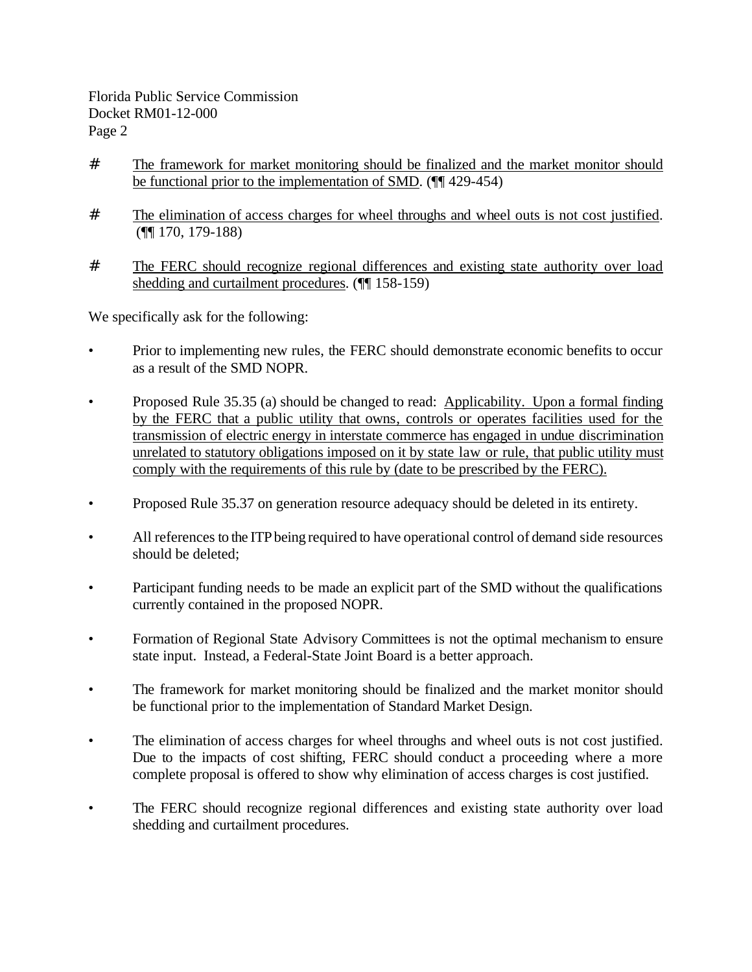- # The framework for market monitoring should be finalized and the market monitor should be functional prior to the implementation of SMD. (¶¶ 429-454)
- # The elimination of access charges for wheel throughs and wheel outs is not cost justified. (¶¶ 170, 179-188)
- # The FERC should recognize regional differences and existing state authority over load shedding and curtailment procedures. (¶¶ 158-159)

We specifically ask for the following:

- Prior to implementing new rules, the FERC should demonstrate economic benefits to occur as a result of the SMD NOPR.
- Proposed Rule 35.35 (a) should be changed to read: Applicability. Upon a formal finding by the FERC that a public utility that owns, controls or operates facilities used for the transmission of electric energy in interstate commerce has engaged in undue discrimination unrelated to statutory obligations imposed on it by state law or rule, that public utility must comply with the requirements of this rule by (date to be prescribed by the FERC).
- Proposed Rule 35.37 on generation resource adequacy should be deleted in its entirety.
- All references to the ITP being required to have operational control of demand side resources should be deleted;
- Participant funding needs to be made an explicit part of the SMD without the qualifications currently contained in the proposed NOPR.
- Formation of Regional State Advisory Committees is not the optimal mechanism to ensure state input. Instead, a Federal-State Joint Board is a better approach.
- The framework for market monitoring should be finalized and the market monitor should be functional prior to the implementation of Standard Market Design.
- The elimination of access charges for wheel throughs and wheel outs is not cost justified. Due to the impacts of cost shifting, FERC should conduct a proceeding where a more complete proposal is offered to show why elimination of access charges is cost justified.
- The FERC should recognize regional differences and existing state authority over load shedding and curtailment procedures.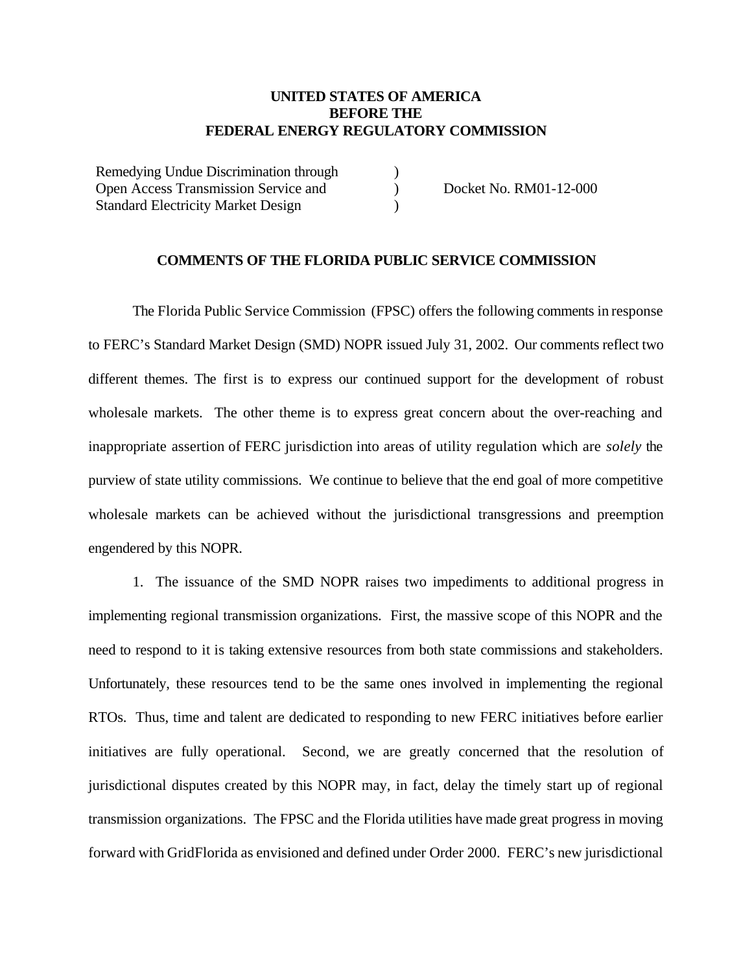### **UNITED STATES OF AMERICA BEFORE THE FEDERAL ENERGY REGULATORY COMMISSION**

)  $\mathcal{L}$ )

Remedying Undue Discrimination through Open Access Transmission Service and Standard Electricity Market Design

Docket No. RM01-12-000

### **COMMENTS OF THE FLORIDA PUBLIC SERVICE COMMISSION**

The Florida Public Service Commission (FPSC) offers the following comments in response to FERC's Standard Market Design (SMD) NOPR issued July 31, 2002. Our comments reflect two different themes. The first is to express our continued support for the development of robust wholesale markets. The other theme is to express great concern about the over-reaching and inappropriate assertion of FERC jurisdiction into areas of utility regulation which are *solely* the purview of state utility commissions. We continue to believe that the end goal of more competitive wholesale markets can be achieved without the jurisdictional transgressions and preemption engendered by this NOPR.

1. The issuance of the SMD NOPR raises two impediments to additional progress in implementing regional transmission organizations. First, the massive scope of this NOPR and the need to respond to it is taking extensive resources from both state commissions and stakeholders. Unfortunately, these resources tend to be the same ones involved in implementing the regional RTOs. Thus, time and talent are dedicated to responding to new FERC initiatives before earlier initiatives are fully operational. Second, we are greatly concerned that the resolution of jurisdictional disputes created by this NOPR may, in fact, delay the timely start up of regional transmission organizations. The FPSC and the Florida utilities have made great progress in moving forward with GridFlorida as envisioned and defined under Order 2000. FERC's new jurisdictional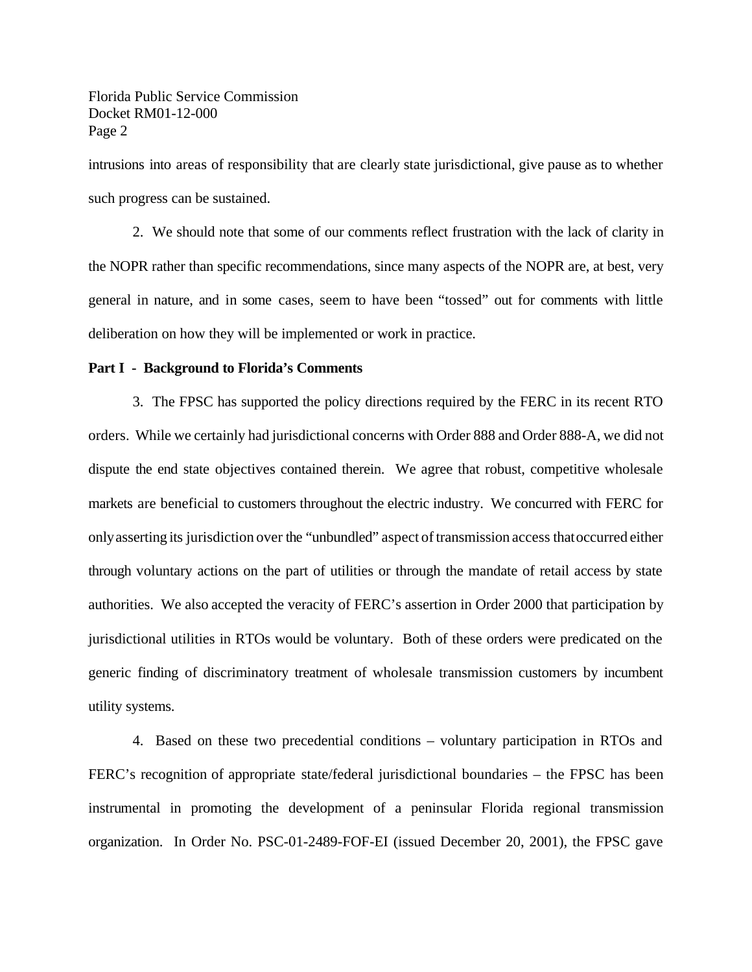intrusions into areas of responsibility that are clearly state jurisdictional, give pause as to whether such progress can be sustained.

2. We should note that some of our comments reflect frustration with the lack of clarity in the NOPR rather than specific recommendations, since many aspects of the NOPR are, at best, very general in nature, and in some cases, seem to have been "tossed" out for comments with little deliberation on how they will be implemented or work in practice.

### **Part I - Background to Florida's Comments**

3. The FPSC has supported the policy directions required by the FERC in its recent RTO orders. While we certainly had jurisdictional concerns with Order 888 and Order 888-A, we did not dispute the end state objectives contained therein. We agree that robust, competitive wholesale markets are beneficial to customers throughout the electric industry. We concurred with FERC for onlyasserting its jurisdiction over the "unbundled" aspect oftransmission access thatoccurred either through voluntary actions on the part of utilities or through the mandate of retail access by state authorities. We also accepted the veracity of FERC's assertion in Order 2000 that participation by jurisdictional utilities in RTOs would be voluntary. Both of these orders were predicated on the generic finding of discriminatory treatment of wholesale transmission customers by incumbent utility systems.

4. Based on these two precedential conditions – voluntary participation in RTOs and FERC's recognition of appropriate state/federal jurisdictional boundaries – the FPSC has been instrumental in promoting the development of a peninsular Florida regional transmission organization. In Order No. PSC-01-2489-FOF-EI (issued December 20, 2001), the FPSC gave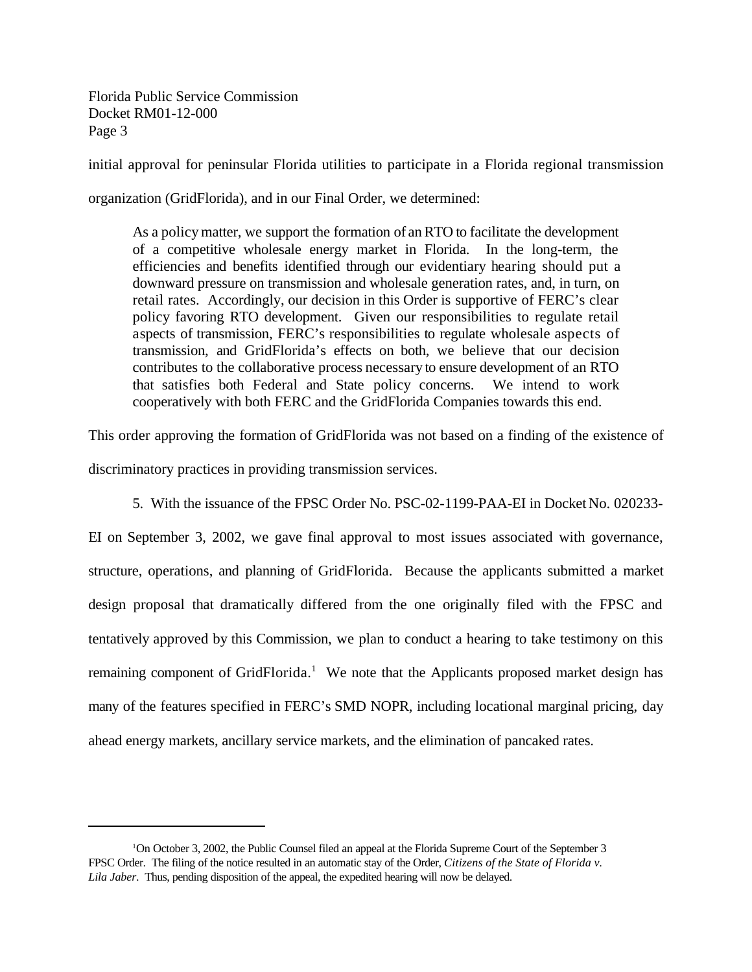initial approval for peninsular Florida utilities to participate in a Florida regional transmission

organization (GridFlorida), and in our Final Order, we determined:

As a policy matter, we support the formation of anRTO to facilitate the development of a competitive wholesale energy market in Florida. In the long-term, the efficiencies and benefits identified through our evidentiary hearing should put a downward pressure on transmission and wholesale generation rates, and, in turn, on retail rates. Accordingly, our decision in this Order is supportive of FERC's clear policy favoring RTO development. Given our responsibilities to regulate retail aspects of transmission, FERC's responsibilities to regulate wholesale aspects of transmission, and GridFlorida's effects on both, we believe that our decision contributes to the collaborative process necessary to ensure development of an RTO that satisfies both Federal and State policy concerns. We intend to work cooperatively with both FERC and the GridFlorida Companies towards this end.

This order approving the formation of GridFlorida was not based on a finding of the existence of

discriminatory practices in providing transmission services.

5. With the issuance of the FPSC Order No. PSC-02-1199-PAA-EI in Docket No. 020233-

EI on September 3, 2002, we gave final approval to most issues associated with governance, structure, operations, and planning of GridFlorida. Because the applicants submitted a market design proposal that dramatically differed from the one originally filed with the FPSC and tentatively approved by this Commission, we plan to conduct a hearing to take testimony on this remaining component of GridFlorida.<sup>1</sup> We note that the Applicants proposed market design has many of the features specified in FERC's SMD NOPR, including locational marginal pricing, day ahead energy markets, ancillary service markets, and the elimination of pancaked rates.

<sup>1</sup>On October 3, 2002, the Public Counsel filed an appeal at the Florida Supreme Court of the September 3 FPSC Order. The filing of the notice resulted in an automatic stay of the Order, *Citizens of the State of Florida v. Lila Jaber*. Thus, pending disposition of the appeal, the expedited hearing will now be delayed.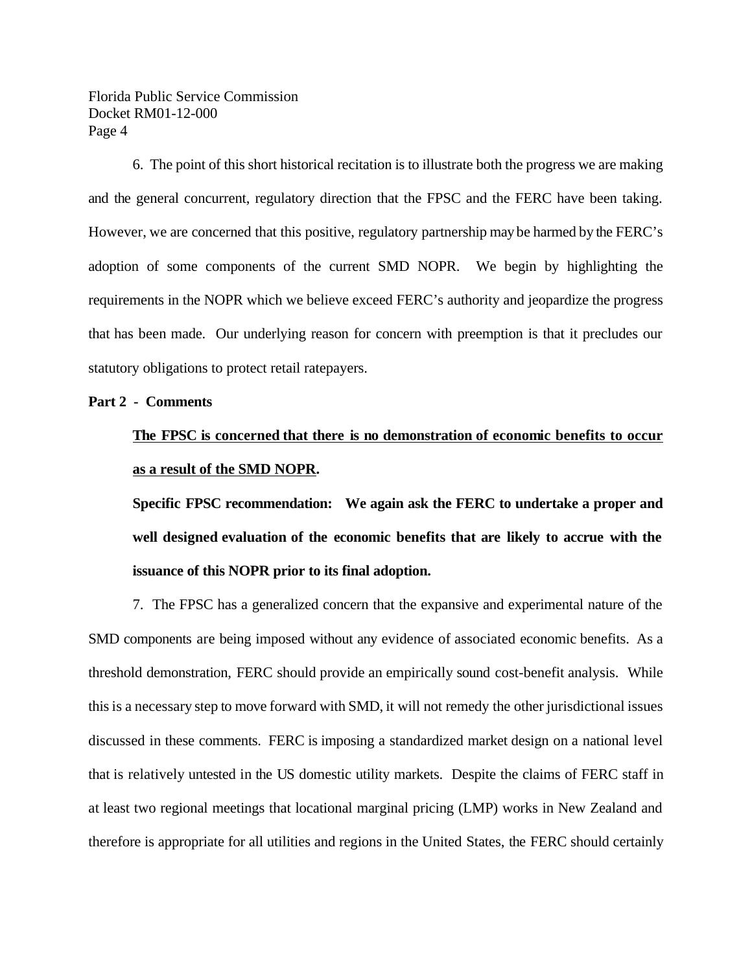6. The point of this short historical recitation is to illustrate both the progress we are making and the general concurrent, regulatory direction that the FPSC and the FERC have been taking. However, we are concerned that this positive, regulatory partnership may be harmed by the FERC's adoption of some components of the current SMD NOPR. We begin by highlighting the requirements in the NOPR which we believe exceed FERC's authority and jeopardize the progress that has been made. Our underlying reason for concern with preemption is that it precludes our statutory obligations to protect retail ratepayers.

### **Part 2 - Comments**

## **The FPSC is concerned that there is no demonstration of economic benefits to occur as a result of the SMD NOPR.**

**Specific FPSC recommendation: We again ask the FERC to undertake a proper and well designed evaluation of the economic benefits that are likely to accrue with the issuance of this NOPR prior to its final adoption.** 

7. The FPSC has a generalized concern that the expansive and experimental nature of the SMD components are being imposed without any evidence of associated economic benefits. As a threshold demonstration, FERC should provide an empirically sound cost-benefit analysis. While thisis a necessary step to move forward with SMD, it will not remedy the other jurisdictional issues discussed in these comments. FERC is imposing a standardized market design on a national level that is relatively untested in the US domestic utility markets. Despite the claims of FERC staff in at least two regional meetings that locational marginal pricing (LMP) works in New Zealand and therefore is appropriate for all utilities and regions in the United States, the FERC should certainly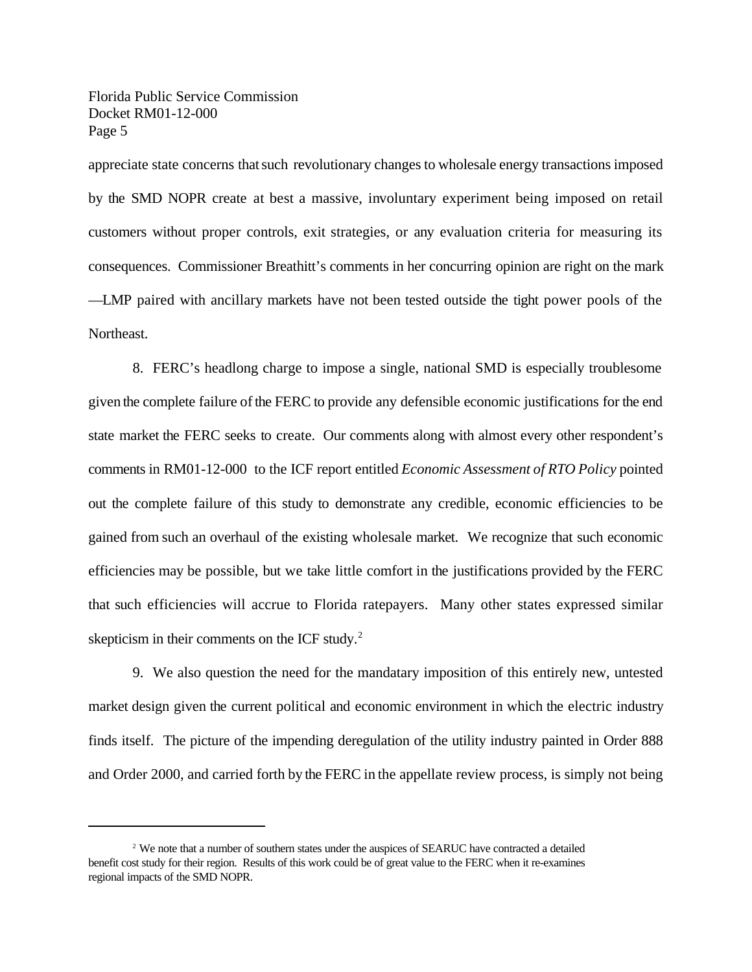appreciate state concerns thatsuch revolutionary changes to wholesale energy transactions imposed by the SMD NOPR create at best a massive, involuntary experiment being imposed on retail customers without proper controls, exit strategies, or any evaluation criteria for measuring its consequences. Commissioner Breathitt's comments in her concurring opinion are right on the mark —LMP paired with ancillary markets have not been tested outside the tight power pools of the Northeast.

8. FERC's headlong charge to impose a single, national SMD is especially troublesome given the complete failure of the FERC to provide any defensible economic justifications for the end state market the FERC seeks to create. Our comments along with almost every other respondent's comments in RM01-12-000 to the ICF report entitled *Economic Assessment of RTO Policy* pointed out the complete failure of this study to demonstrate any credible, economic efficiencies to be gained from such an overhaul of the existing wholesale market. We recognize that such economic efficiencies may be possible, but we take little comfort in the justifications provided by the FERC that such efficiencies will accrue to Florida ratepayers. Many other states expressed similar skepticism in their comments on the ICF study.<sup>2</sup>

9. We also question the need for the mandatary imposition of this entirely new, untested market design given the current political and economic environment in which the electric industry finds itself. The picture of the impending deregulation of the utility industry painted in Order 888 and Order 2000, and carried forth by the FERC in the appellate review process, is simply not being

 $2$  We note that a number of southern states under the auspices of SEARUC have contracted a detailed benefit cost study for their region. Results of this work could be of great value to the FERC when it re-examines regional impacts of the SMD NOPR.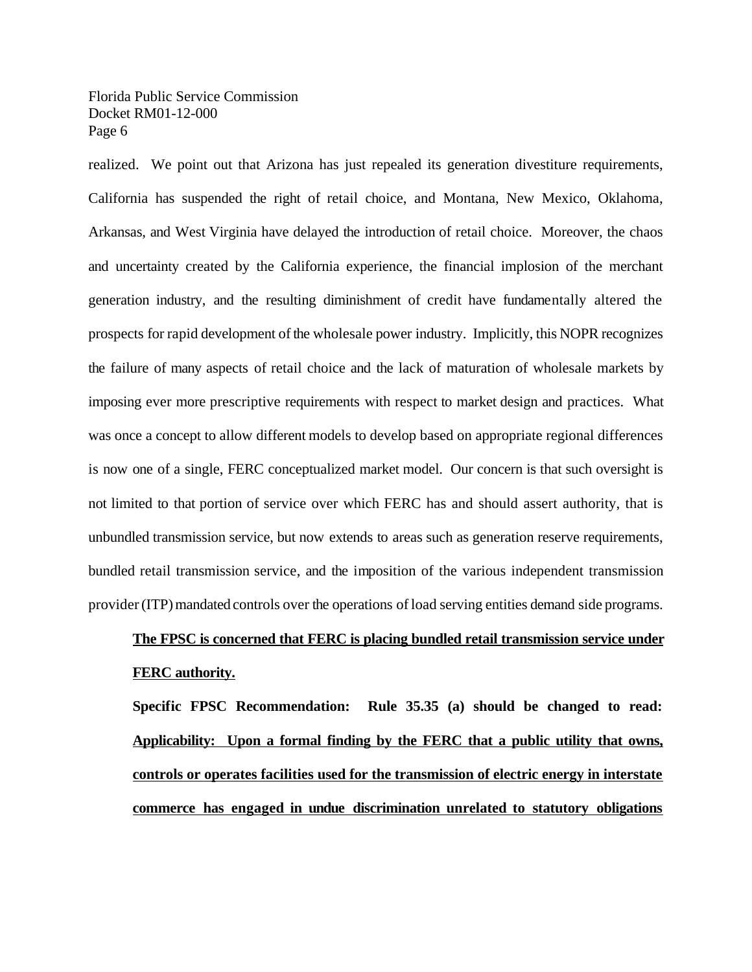realized. We point out that Arizona has just repealed its generation divestiture requirements, California has suspended the right of retail choice, and Montana, New Mexico, Oklahoma, Arkansas, and West Virginia have delayed the introduction of retail choice. Moreover, the chaos and uncertainty created by the California experience, the financial implosion of the merchant generation industry, and the resulting diminishment of credit have fundamentally altered the prospects for rapid development ofthe wholesale power industry. Implicitly, this NOPR recognizes the failure of many aspects of retail choice and the lack of maturation of wholesale markets by imposing ever more prescriptive requirements with respect to market design and practices. What was once a concept to allow different models to develop based on appropriate regional differences is now one of a single, FERC conceptualized market model. Our concern is that such oversight is not limited to that portion of service over which FERC has and should assert authority, that is unbundled transmission service, but now extends to areas such as generation reserve requirements, bundled retail transmission service, and the imposition of the various independent transmission provider (ITP) mandated controls over the operations of load serving entities demand side programs.

## **The FPSC is concerned that FERC is placing bundled retail transmission service under FERC authority.**

**Specific FPSC Recommendation: Rule 35.35 (a) should be changed to read: Applicability: Upon a formal finding by the FERC that a public utility that owns, controls or operates facilities used for the transmission of electric energy in interstate commerce has engaged in undue discrimination unrelated to statutory obligations**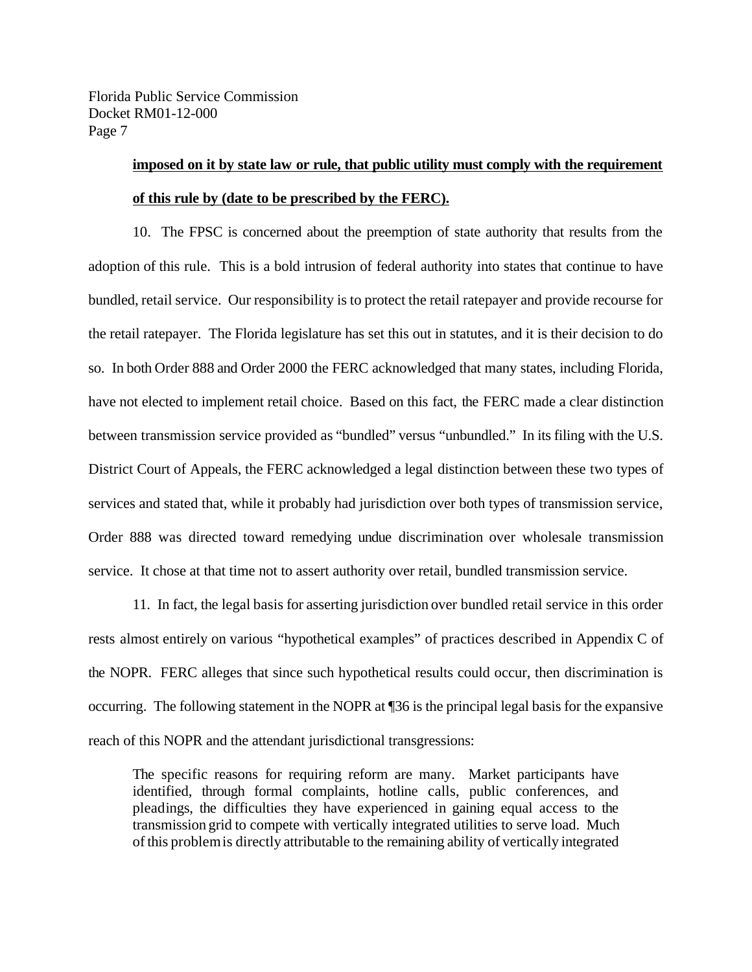## **imposed on it by state law or rule, that public utility must comply with the requirement of this rule by (date to be prescribed by the FERC).**

10. The FPSC is concerned about the preemption of state authority that results from the adoption of this rule. This is a bold intrusion of federal authority into states that continue to have bundled, retail service. Our responsibility is to protect the retail ratepayer and provide recourse for the retail ratepayer. The Florida legislature has set this out in statutes, and it is their decision to do so. In both Order 888 and Order 2000 the FERC acknowledged that many states, including Florida, have not elected to implement retail choice. Based on this fact, the FERC made a clear distinction between transmission service provided as "bundled" versus "unbundled." In its filing with the U.S. District Court of Appeals, the FERC acknowledged a legal distinction between these two types of services and stated that, while it probably had jurisdiction over both types of transmission service, Order 888 was directed toward remedying undue discrimination over wholesale transmission service. It chose at that time not to assert authority over retail, bundled transmission service.

11. In fact, the legal basis for asserting jurisdiction over bundled retail service in this order rests almost entirely on various "hypothetical examples" of practices described in Appendix C of the NOPR. FERC alleges that since such hypothetical results could occur, then discrimination is occurring. The following statement in the NOPR at ¶36 is the principal legal basis for the expansive reach of this NOPR and the attendant jurisdictional transgressions:

The specific reasons for requiring reform are many. Market participants have identified, through formal complaints, hotline calls, public conferences, and pleadings, the difficulties they have experienced in gaining equal access to the transmission grid to compete with vertically integrated utilities to serve load. Much ofthis problemis directly attributable to the remaining ability of vertically integrated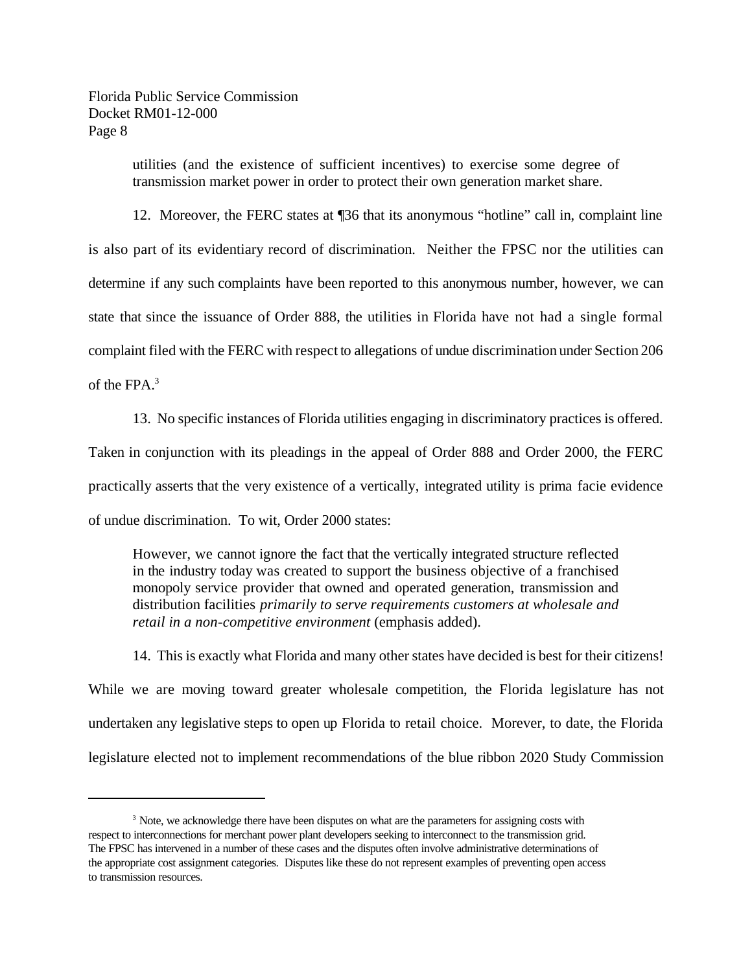> utilities (and the existence of sufficient incentives) to exercise some degree of transmission market power in order to protect their own generation market share.

12. Moreover, the FERC states at ¶36 that its anonymous "hotline" call in, complaint line is also part of its evidentiary record of discrimination. Neither the FPSC nor the utilities can determine if any such complaints have been reported to this anonymous number, however, we can state that since the issuance of Order 888, the utilities in Florida have not had a single formal complaint filed with the FERC with respect to allegations of undue discrimination under Section 206 of the FPA.<sup>3</sup>

13. No specific instances of Florida utilities engaging in discriminatory practices is offered.

Taken in conjunction with its pleadings in the appeal of Order 888 and Order 2000, the FERC

practically asserts that the very existence of a vertically, integrated utility is prima facie evidence

of undue discrimination. To wit, Order 2000 states:

However, we cannot ignore the fact that the vertically integrated structure reflected in the industry today was created to support the business objective of a franchised monopoly service provider that owned and operated generation, transmission and distribution facilities *primarily to serve requirements customers at wholesale and retail in a non-competitive environment* (emphasis added).

14. This is exactly what Florida and many other states have decided is best for their citizens! While we are moving toward greater wholesale competition, the Florida legislature has not undertaken any legislative steps to open up Florida to retail choice. Morever, to date, the Florida legislature elected not to implement recommendations of the blue ribbon 2020 Study Commission

<sup>&</sup>lt;sup>3</sup> Note, we acknowledge there have been disputes on what are the parameters for assigning costs with respect to interconnections for merchant power plant developers seeking to interconnect to the transmission grid. The FPSC has intervened in a number of these cases and the disputes often involve administrative determinations of the appropriate cost assignment categories. Disputes like these do not represent examples of preventing open access to transmission resources.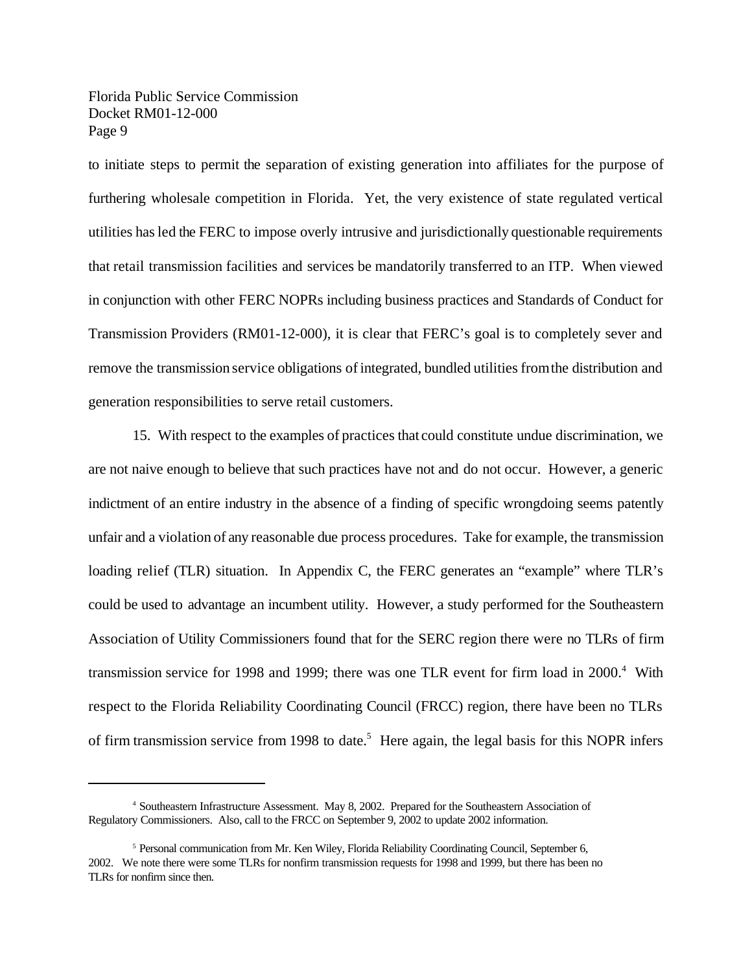to initiate steps to permit the separation of existing generation into affiliates for the purpose of furthering wholesale competition in Florida. Yet, the very existence of state regulated vertical utilities hasled the FERC to impose overly intrusive and jurisdictionally questionable requirements that retail transmission facilities and services be mandatorily transferred to an ITP. When viewed in conjunction with other FERC NOPRs including business practices and Standards of Conduct for Transmission Providers (RM01-12-000), it is clear that FERC's goal is to completely sever and remove the transmission service obligations of integrated, bundled utilities from the distribution and generation responsibilities to serve retail customers.

15. With respect to the examples of practices that could constitute undue discrimination, we are not naive enough to believe that such practices have not and do not occur. However, a generic indictment of an entire industry in the absence of a finding of specific wrongdoing seems patently unfair and a violation of any reasonable due process procedures. Take for example, the transmission loading relief (TLR) situation. In Appendix C, the FERC generates an "example" where TLR's could be used to advantage an incumbent utility. However, a study performed for the Southeastern Association of Utility Commissioners found that for the SERC region there were no TLRs of firm transmission service for 1998 and 1999; there was one TLR event for firm load in 2000.<sup>4</sup> With respect to the Florida Reliability Coordinating Council (FRCC) region, there have been no TLRs of firm transmission service from 1998 to date.<sup>5</sup> Here again, the legal basis for this NOPR infers

<sup>4</sup> Southeastern Infrastructure Assessment. May 8, 2002. Prepared for the Southeastern Association of Regulatory Commissioners. Also, call to the FRCC on September 9, 2002 to update 2002 information.

<sup>&</sup>lt;sup>5</sup> Personal communication from Mr. Ken Wiley, Florida Reliability Coordinating Council, September 6, 2002. We note there were some TLRs for nonfirm transmission requests for 1998 and 1999, but there has been no TLRs for nonfirm since then.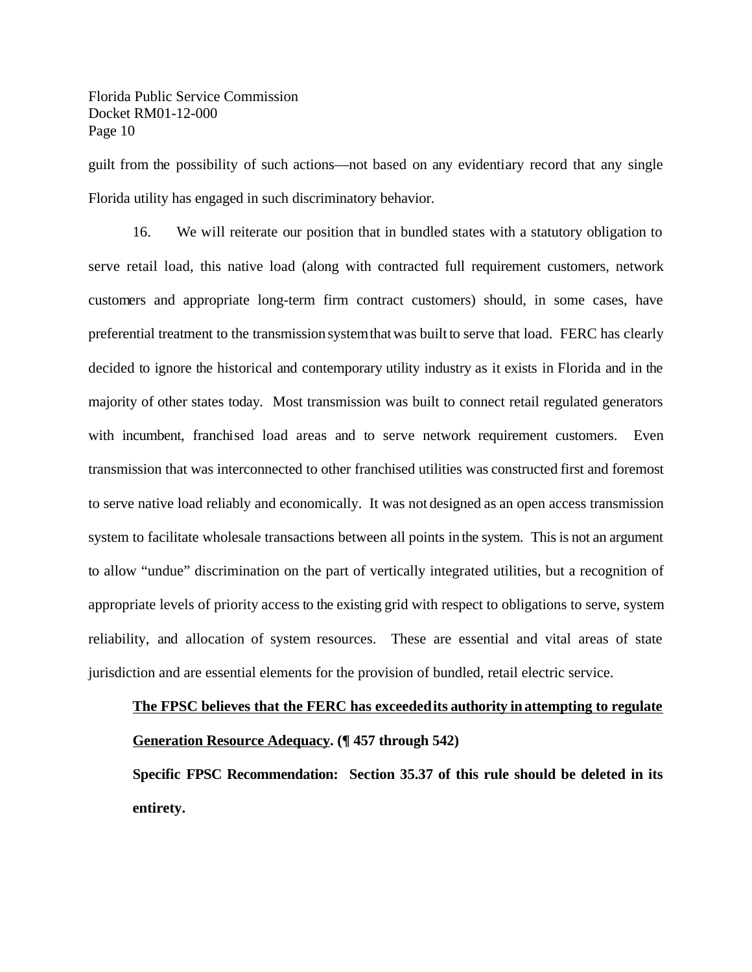guilt from the possibility of such actions—not based on any evidentiary record that any single Florida utility has engaged in such discriminatory behavior.

16. We will reiterate our position that in bundled states with a statutory obligation to serve retail load, this native load (along with contracted full requirement customers, network customers and appropriate long-term firm contract customers) should, in some cases, have preferential treatment to the transmission systemthatwas built to serve that load. FERC has clearly decided to ignore the historical and contemporary utility industry as it exists in Florida and in the majority of other states today. Most transmission was built to connect retail regulated generators with incumbent, franchised load areas and to serve network requirement customers. Even transmission that was interconnected to other franchised utilities was constructed first and foremost to serve native load reliably and economically. It was not designed as an open access transmission system to facilitate wholesale transactions between all points in the system. This is not an argument to allow "undue" discrimination on the part of vertically integrated utilities, but a recognition of appropriate levels of priority access to the existing grid with respect to obligations to serve, system reliability, and allocation of system resources. These are essential and vital areas of state jurisdiction and are essential elements for the provision of bundled, retail electric service.

## **The FPSC believes that the FERC has exceededits authority inattempting to regulate Generation Resource Adequacy. (¶ 457 through 542)**

**Specific FPSC Recommendation: Section 35.37 of this rule should be deleted in its entirety.**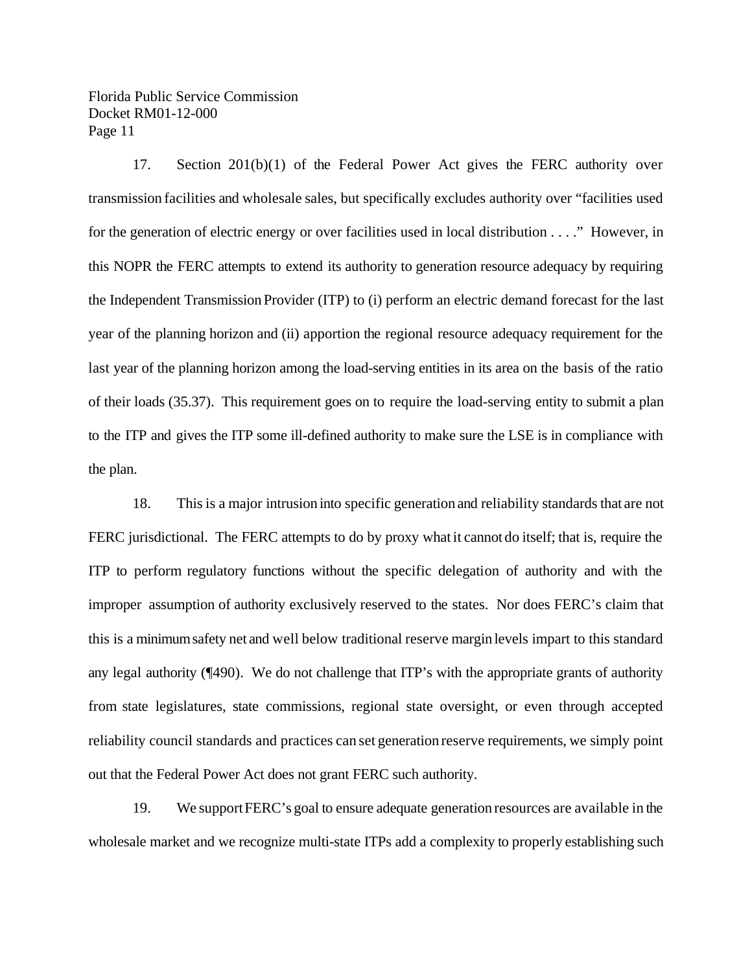17. Section 201(b)(1) of the Federal Power Act gives the FERC authority over transmission facilities and wholesale sales, but specifically excludes authority over "facilities used for the generation of electric energy or over facilities used in local distribution . . . ." However, in this NOPR the FERC attempts to extend its authority to generation resource adequacy by requiring the Independent TransmissionProvider (ITP) to (i) perform an electric demand forecast for the last year of the planning horizon and (ii) apportion the regional resource adequacy requirement for the last year of the planning horizon among the load-serving entities in its area on the basis of the ratio of their loads (35.37). This requirement goes on to require the load-serving entity to submit a plan to the ITP and gives the ITP some ill-defined authority to make sure the LSE is in compliance with the plan.

18. Thisis a major intrusion into specific generation and reliability standards that are not FERC jurisdictional. The FERC attempts to do by proxy what it cannot do itself; that is, require the ITP to perform regulatory functions without the specific delegation of authority and with the improper assumption of authority exclusively reserved to the states. Nor does FERC's claim that this is a minimumsafety net and well below traditional reserve margin levels impart to this standard any legal authority (¶490). We do not challenge that ITP's with the appropriate grants of authority from state legislatures, state commissions, regional state oversight, or even through accepted reliability council standards and practices can set generation reserve requirements, we simply point out that the Federal Power Act does not grant FERC such authority.

19. We supportFERC's goal to ensure adequate generation resources are available in the wholesale market and we recognize multi-state ITPs add a complexity to properly establishing such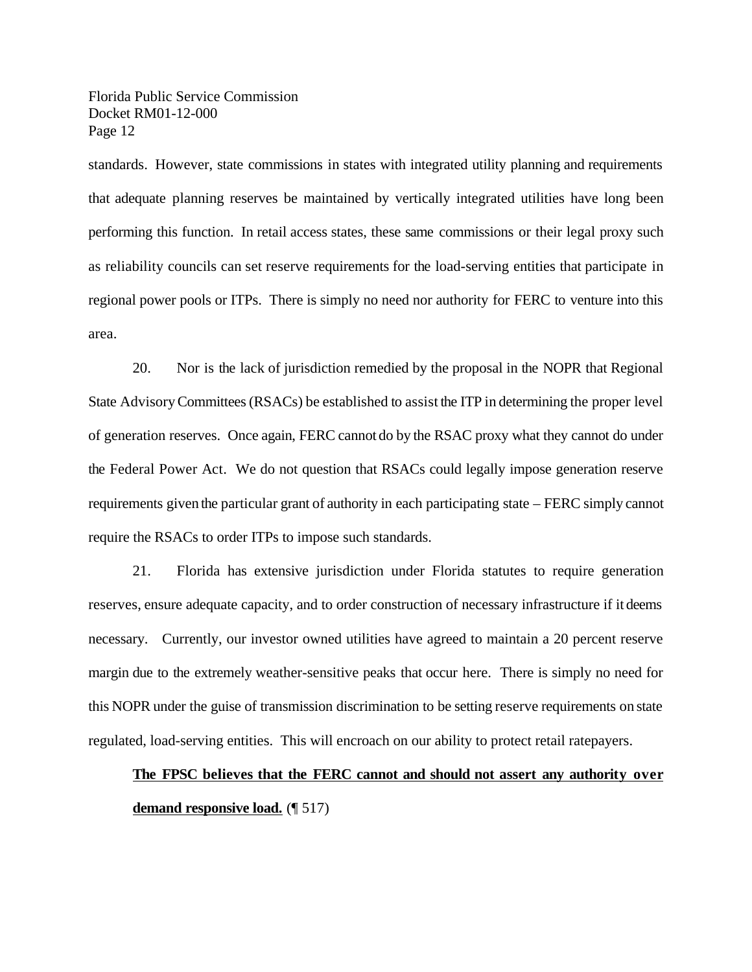standards. However, state commissions in states with integrated utility planning and requirements that adequate planning reserves be maintained by vertically integrated utilities have long been performing this function. In retail access states, these same commissions or their legal proxy such as reliability councils can set reserve requirements for the load-serving entities that participate in regional power pools or ITPs. There is simply no need nor authority for FERC to venture into this area.

20. Nor is the lack of jurisdiction remedied by the proposal in the NOPR that Regional State AdvisoryCommittees(RSACs) be established to assist the ITP in determining the proper level of generation reserves. Once again, FERC cannot do by the RSAC proxy what they cannot do under the Federal Power Act. We do not question that RSACs could legally impose generation reserve requirements given the particular grant of authority in each participating state – FERC simply cannot require the RSACs to order ITPs to impose such standards.

21. Florida has extensive jurisdiction under Florida statutes to require generation reserves, ensure adequate capacity, and to order construction of necessary infrastructure if it deems necessary. Currently, our investor owned utilities have agreed to maintain a 20 percent reserve margin due to the extremely weather-sensitive peaks that occur here. There is simply no need for this NOPR under the guise of transmission discrimination to be setting reserve requirements on state regulated, load-serving entities. This will encroach on our ability to protect retail ratepayers.

## **The FPSC believes that the FERC cannot and should not assert any authority over demand responsive load.** (¶ 517)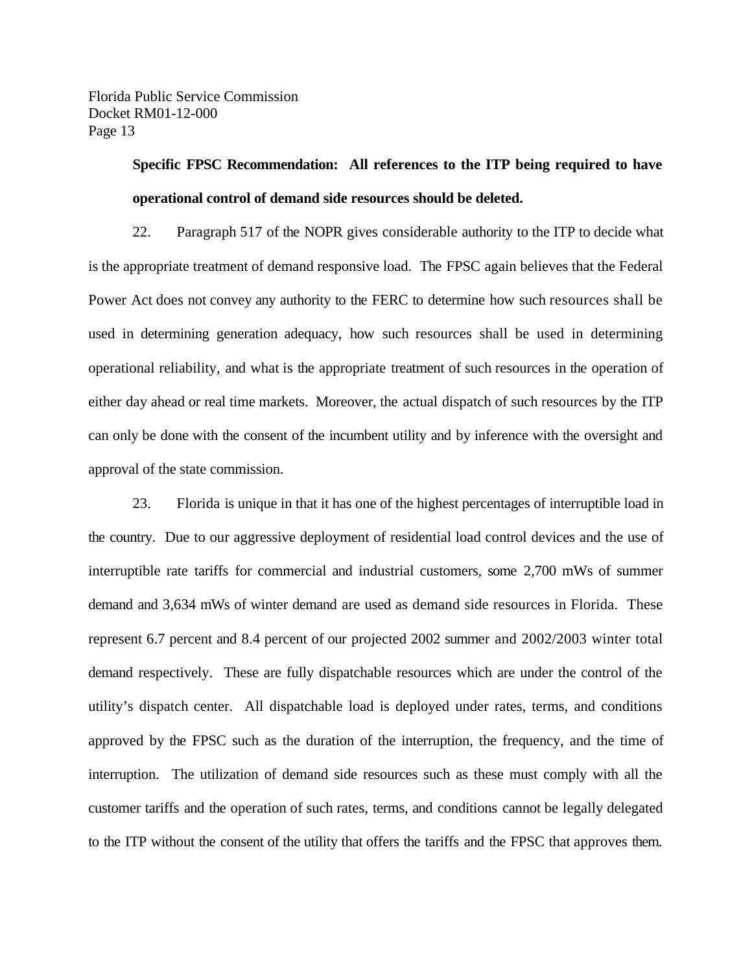## **Specific FPSC Recommendation: All references to the ITP being required to have operational control of demand side resources should be deleted.**

22. Paragraph 517 of the NOPR gives considerable authority to the ITP to decide what is the appropriate treatment of demand responsive load. The FPSC again believes that the Federal Power Act does not convey any authority to the FERC to determine how such resources shall be used in determining generation adequacy, how such resources shall be used in determining operational reliability, and what is the appropriate treatment of such resources in the operation of either day ahead or real time markets. Moreover, the actual dispatch of such resources by the ITP can only be done with the consent of the incumbent utility and by inference with the oversight and approval of the state commission.

23. Florida is unique in that it has one of the highest percentages of interruptible load in the country. Due to our aggressive deployment of residential load control devices and the use of interruptible rate tariffs for commercial and industrial customers, some 2,700 mWs of summer demand and 3,634 mWs of winter demand are used as demand side resources in Florida. These represent 6.7 percent and 8.4 percent of our projected 2002 summer and 2002/2003 winter total demand respectively. These are fully dispatchable resources which are under the control of the utility's dispatch center. All dispatchable load is deployed under rates, terms, and conditions approved by the FPSC such as the duration of the interruption, the frequency, and the time of interruption. The utilization of demand side resources such as these must comply with all the customer tariffs and the operation of such rates, terms, and conditions cannot be legally delegated to the ITP without the consent of the utility that offers the tariffs and the FPSC that approves them.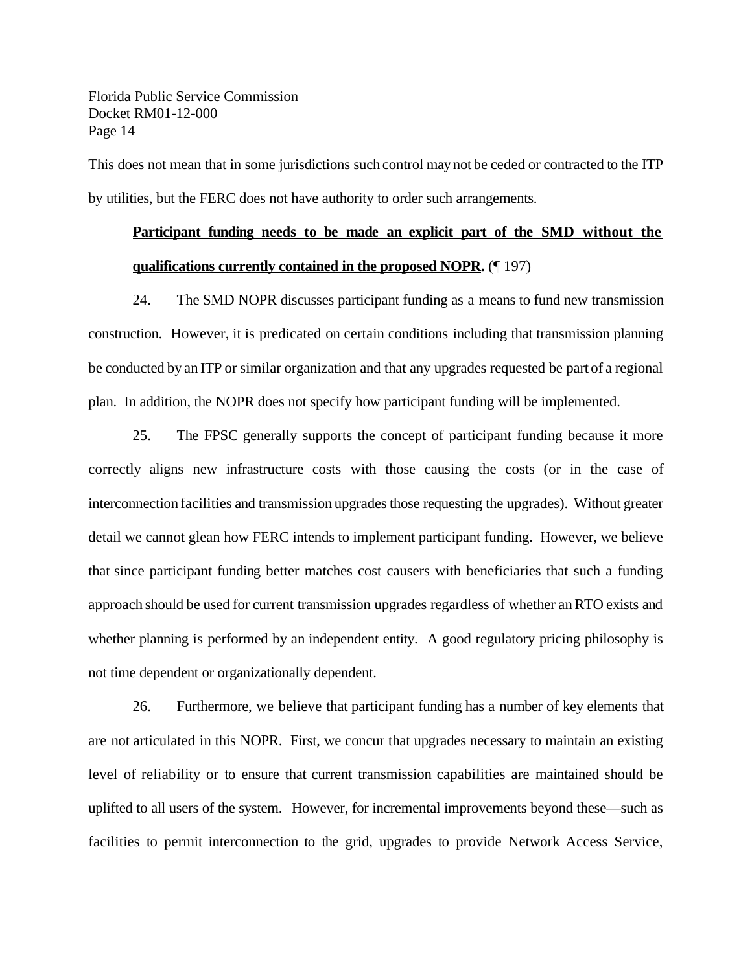This does not mean that in some jurisdictions such control may not be ceded or contracted to the ITP by utilities, but the FERC does not have authority to order such arrangements.

## **Participant funding needs to be made an explicit part of the SMD without the qualifications currently contained in the proposed NOPR.** (¶ 197)

24. The SMD NOPR discusses participant funding as a means to fund new transmission construction. However, it is predicated on certain conditions including that transmission planning be conducted by an ITP or similar organization and that any upgrades requested be part of a regional plan. In addition, the NOPR does not specify how participant funding will be implemented.

25. The FPSC generally supports the concept of participant funding because it more correctly aligns new infrastructure costs with those causing the costs (or in the case of interconnection facilities and transmission upgrades those requesting the upgrades). Without greater detail we cannot glean how FERC intends to implement participant funding. However, we believe that since participant funding better matches cost causers with beneficiaries that such a funding approach should be used for current transmission upgrades regardless of whether anRTO exists and whether planning is performed by an independent entity. A good regulatory pricing philosophy is not time dependent or organizationally dependent.

26. Furthermore, we believe that participant funding has a number of key elements that are not articulated in this NOPR. First, we concur that upgrades necessary to maintain an existing level of reliability or to ensure that current transmission capabilities are maintained should be uplifted to all users of the system. However, for incremental improvements beyond these—such as facilities to permit interconnection to the grid, upgrades to provide Network Access Service,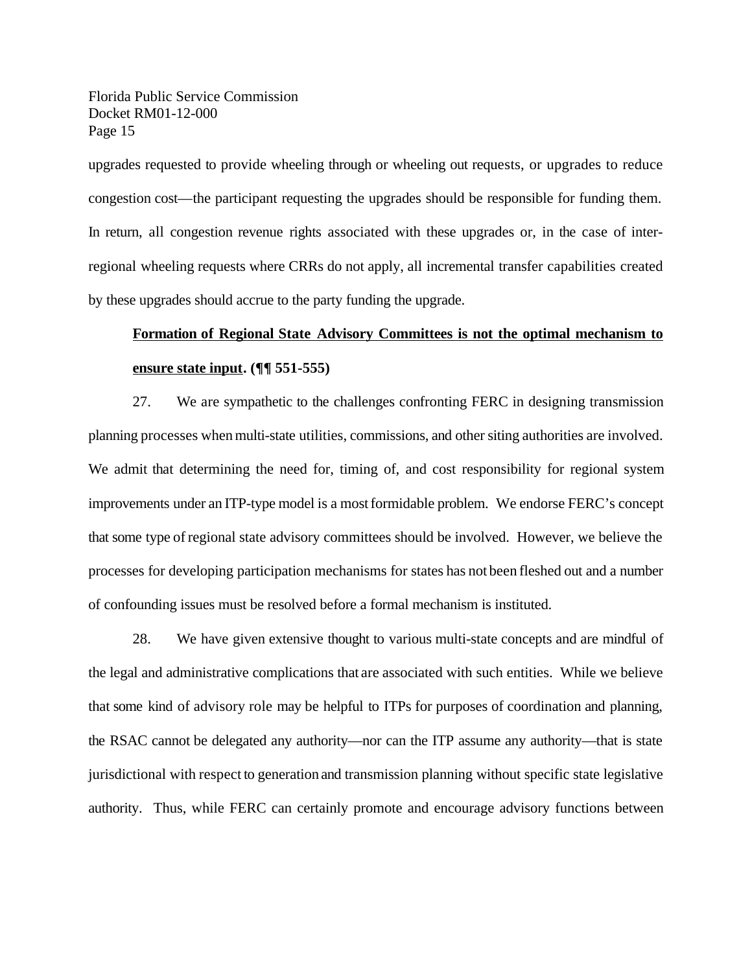upgrades requested to provide wheeling through or wheeling out requests, or upgrades to reduce congestion cost—the participant requesting the upgrades should be responsible for funding them. In return, all congestion revenue rights associated with these upgrades or, in the case of interregional wheeling requests where CRRs do not apply, all incremental transfer capabilities created by these upgrades should accrue to the party funding the upgrade.

## **Formation of Regional State Advisory Committees is not the optimal mechanism to ensure state input. (¶¶ 551-555)**

27. We are sympathetic to the challenges confronting FERC in designing transmission planning processes when multi-state utilities, commissions, and other siting authorities are involved. We admit that determining the need for, timing of, and cost responsibility for regional system improvements under an ITP-type model is a most formidable problem. We endorse FERC's concept that some type ofregional state advisory committees should be involved. However, we believe the processes for developing participation mechanisms for states has not been fleshed out and a number of confounding issues must be resolved before a formal mechanism is instituted.

28. We have given extensive thought to various multi-state concepts and are mindful of the legal and administrative complications that are associated with such entities. While we believe that some kind of advisory role may be helpful to ITPs for purposes of coordination and planning, the RSAC cannot be delegated any authority—nor can the ITP assume any authority—that is state jurisdictional with respect to generation and transmission planning without specific state legislative authority. Thus, while FERC can certainly promote and encourage advisory functions between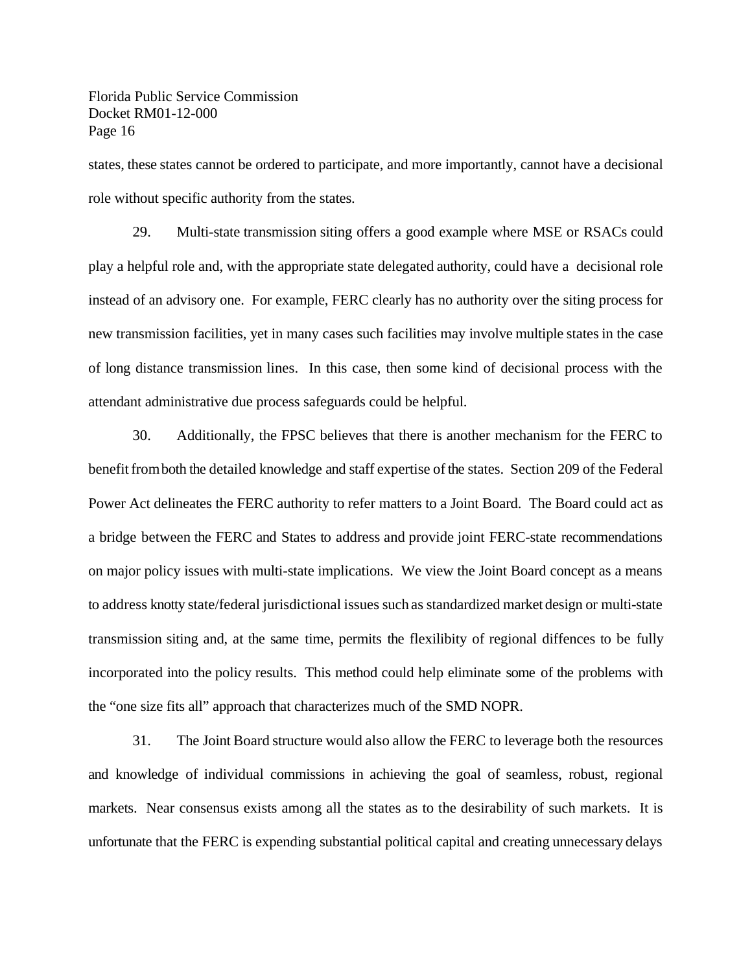states, these states cannot be ordered to participate, and more importantly, cannot have a decisional role without specific authority from the states.

29. Multi-state transmission siting offers a good example where MSE or RSACs could play a helpful role and, with the appropriate state delegated authority, could have a decisional role instead of an advisory one. For example, FERC clearly has no authority over the siting process for new transmission facilities, yet in many cases such facilities may involve multiple states in the case of long distance transmission lines. In this case, then some kind of decisional process with the attendant administrative due process safeguards could be helpful.

30. Additionally, the FPSC believes that there is another mechanism for the FERC to benefit from both the detailed knowledge and staff expertise of the states. Section 209 of the Federal Power Act delineates the FERC authority to refer matters to a Joint Board. The Board could act as a bridge between the FERC and States to address and provide joint FERC-state recommendations on major policy issues with multi-state implications. We view the Joint Board concept as a means to address knotty state/federal jurisdictional issues such as standardized market design or multi-state transmission siting and, at the same time, permits the flexilibity of regional diffences to be fully incorporated into the policy results. This method could help eliminate some of the problems with the "one size fits all" approach that characterizes much of the SMD NOPR.

31. The Joint Board structure would also allow the FERC to leverage both the resources and knowledge of individual commissions in achieving the goal of seamless, robust, regional markets. Near consensus exists among all the states as to the desirability of such markets. It is unfortunate that the FERC is expending substantial political capital and creating unnecessary delays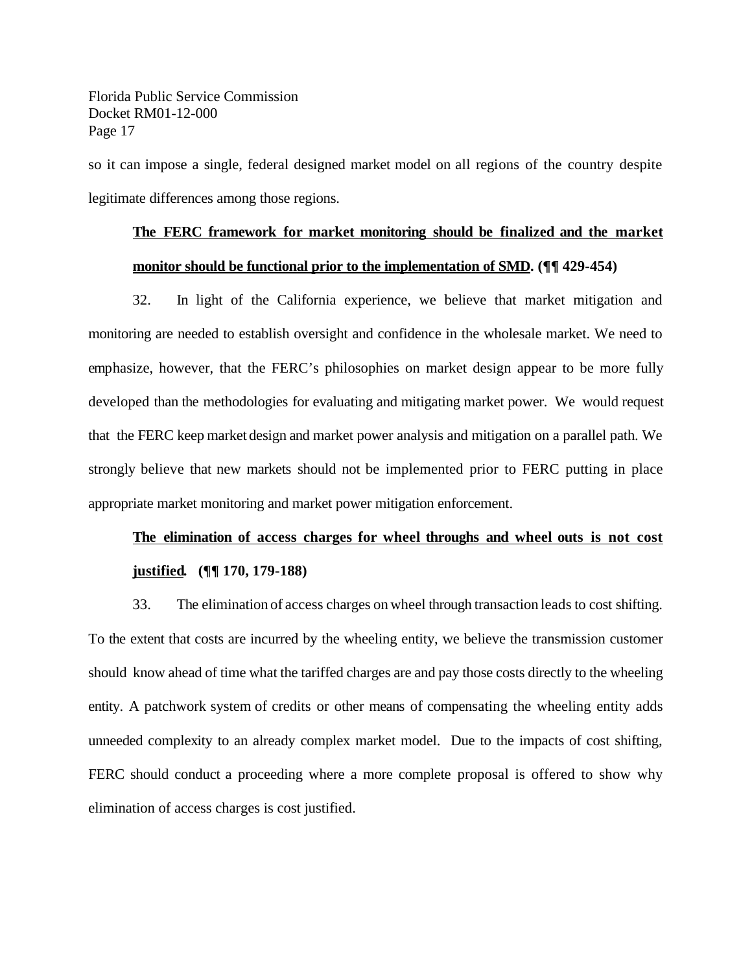so it can impose a single, federal designed market model on all regions of the country despite legitimate differences among those regions.

## **The FERC framework for market monitoring should be finalized and the market monitor should be functional prior to the implementation of SMD. (¶¶ 429-454)**

32. In light of the California experience, we believe that market mitigation and monitoring are needed to establish oversight and confidence in the wholesale market. We need to emphasize, however, that the FERC's philosophies on market design appear to be more fully developed than the methodologies for evaluating and mitigating market power. We would request that the FERC keep market design and market power analysis and mitigation on a parallel path. We strongly believe that new markets should not be implemented prior to FERC putting in place appropriate market monitoring and market power mitigation enforcement.

## **The elimination of access charges for wheel throughs and wheel outs is not cost justified. (¶¶ 170, 179-188)**

33. The elimination of access charges on wheel through transaction leads to cost shifting. To the extent that costs are incurred by the wheeling entity, we believe the transmission customer should know ahead of time what the tariffed charges are and pay those costs directly to the wheeling entity. A patchwork system of credits or other means of compensating the wheeling entity adds unneeded complexity to an already complex market model. Due to the impacts of cost shifting, FERC should conduct a proceeding where a more complete proposal is offered to show why elimination of access charges is cost justified.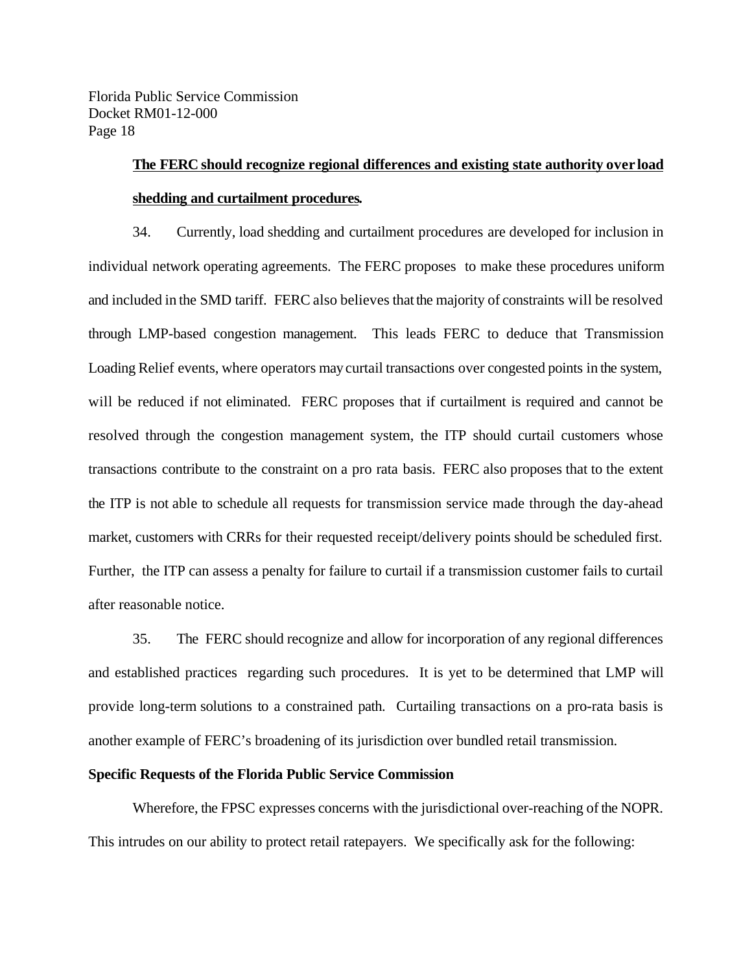## **The FERC should recognize regional differences and existing state authority over load shedding and curtailment procedures.**

34. Currently, load shedding and curtailment procedures are developed for inclusion in individual network operating agreements. The FERC proposes to make these procedures uniform and included in the SMD tariff. FERC also believes thatthe majority of constraints will be resolved through LMP-based congestion management. This leads FERC to deduce that Transmission Loading Relief events, where operators may curtail transactions over congested points in the system, will be reduced if not eliminated. FERC proposes that if curtailment is required and cannot be resolved through the congestion management system, the ITP should curtail customers whose transactions contribute to the constraint on a pro rata basis. FERC also proposes that to the extent the ITP is not able to schedule all requests for transmission service made through the day-ahead market, customers with CRRs for their requested receipt/delivery points should be scheduled first. Further, the ITP can assess a penalty for failure to curtail if a transmission customer fails to curtail after reasonable notice.

35. The FERC should recognize and allow for incorporation of any regional differences and established practices regarding such procedures. It is yet to be determined that LMP will provide long-term solutions to a constrained path. Curtailing transactions on a pro-rata basis is another example of FERC's broadening of its jurisdiction over bundled retail transmission.

### **Specific Requests of the Florida Public Service Commission**

Wherefore, the FPSC expresses concerns with the jurisdictional over-reaching ofthe NOPR. This intrudes on our ability to protect retail ratepayers. We specifically ask for the following: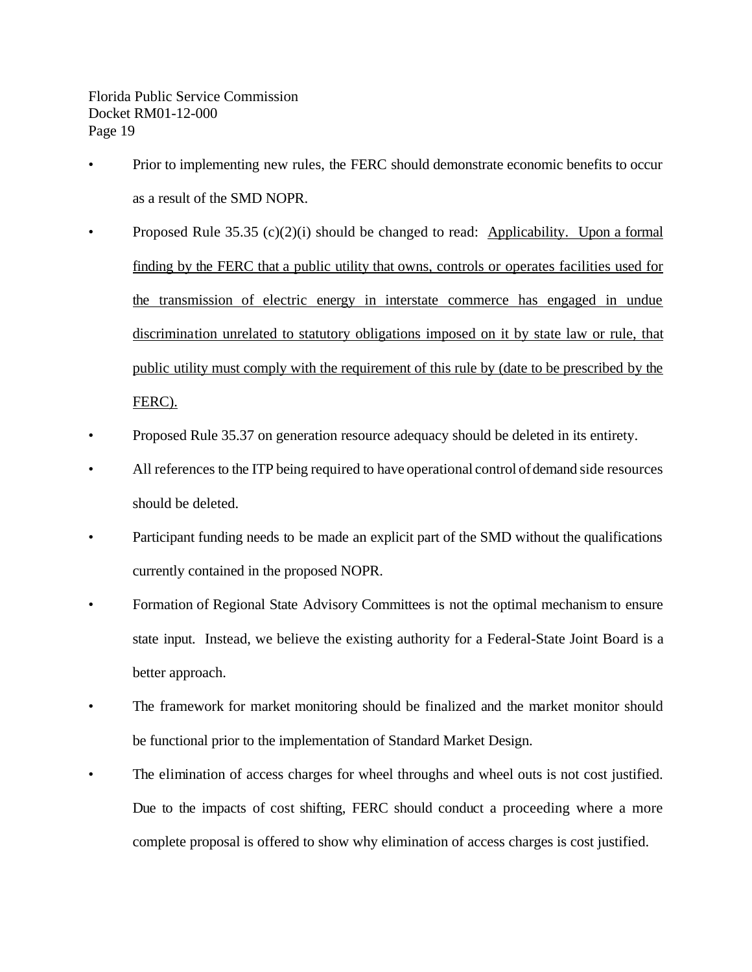- Prior to implementing new rules, the FERC should demonstrate economic benefits to occur as a result of the SMD NOPR.
- Proposed Rule  $35.35$  (c)(2)(i) should be changed to read: Applicability. Upon a formal finding by the FERC that a public utility that owns, controls or operates facilities used for the transmission of electric energy in interstate commerce has engaged in undue discrimination unrelated to statutory obligations imposed on it by state law or rule, that public utility must comply with the requirement of this rule by (date to be prescribed by the FERC).
- Proposed Rule 35.37 on generation resource adequacy should be deleted in its entirety.
- All references to the ITP being required to have operational control ofdemand side resources should be deleted.
- Participant funding needs to be made an explicit part of the SMD without the qualifications currently contained in the proposed NOPR.
- Formation of Regional State Advisory Committees is not the optimal mechanism to ensure state input. Instead, we believe the existing authority for a Federal-State Joint Board is a better approach.
- The framework for market monitoring should be finalized and the market monitor should be functional prior to the implementation of Standard Market Design.
- The elimination of access charges for wheel throughs and wheel outs is not cost justified. Due to the impacts of cost shifting, FERC should conduct a proceeding where a more complete proposal is offered to show why elimination of access charges is cost justified.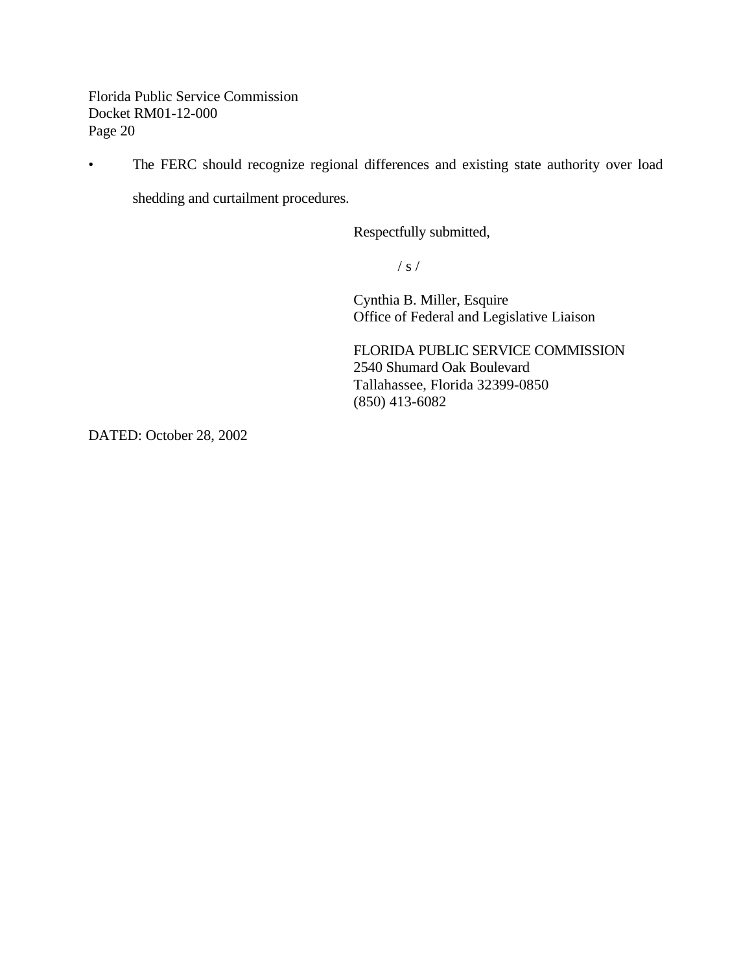• The FERC should recognize regional differences and existing state authority over load

shedding and curtailment procedures.

Respectfully submitted,

 $/ s /$ 

Cynthia B. Miller, Esquire Office of Federal and Legislative Liaison

FLORIDA PUBLIC SERVICE COMMISSION 2540 Shumard Oak Boulevard Tallahassee, Florida 32399-0850 (850) 413-6082

DATED: October 28, 2002